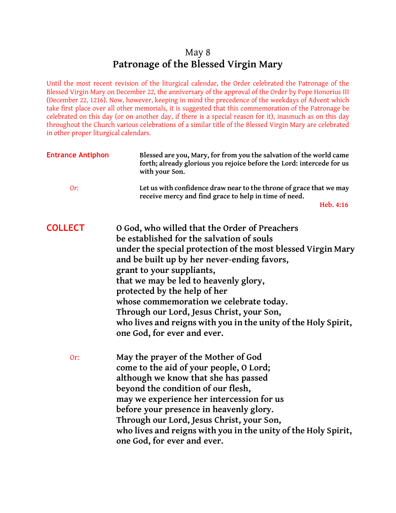## May 8 **Patronage of the Blessed Virgin Mary**

Until the most recent revision of the liturgical calendar, the Order celebrated the Patronage of the Blessed Virgin Mary on December 22, the anniversary of the approval of the Order by Pope Honorius III (December 22, 1216). Now, however, keeping in mind the precedence of the weekdays of Advent which take first place over all other memorials, it is suggested that this commemoration of the Patronage be celebrated on this day (or on another day, if there is a special reason for it), inasmuch as on this day throughout the Church various celebrations of a similar title of the Blessed Virgin Mary are celebrated in other proper liturgical calendars.

| <b>Entrance Antiphon</b> | Blessed are you, Mary, for from you the salvation of the world came<br>forth; already glorious you rejoice before the Lord: intercede for us<br>with your Son. |  |  |  |
|--------------------------|----------------------------------------------------------------------------------------------------------------------------------------------------------------|--|--|--|
| Or:                      | Let us with confidence draw near to the throne of grace that we may<br>receive mercy and find grace to help in time of need.                                   |  |  |  |
|                          | Heb. 4:16                                                                                                                                                      |  |  |  |
| <b>COLLECT</b>           | O God, who willed that the Order of Preachers                                                                                                                  |  |  |  |
|                          | be established for the salvation of souls                                                                                                                      |  |  |  |
|                          | under the special protection of the most blessed Virgin Mary<br>and be built up by her never-ending favors,                                                    |  |  |  |
|                          | grant to your suppliants,                                                                                                                                      |  |  |  |
|                          | that we may be led to heavenly glory,                                                                                                                          |  |  |  |
|                          | protected by the help of her                                                                                                                                   |  |  |  |
|                          |                                                                                                                                                                |  |  |  |
|                          | whose commemoration we celebrate today.                                                                                                                        |  |  |  |
|                          | Through our Lord, Jesus Christ, your Son,                                                                                                                      |  |  |  |
|                          | who lives and reigns with you in the unity of the Holy Spirit,<br>one God, for ever and ever.                                                                  |  |  |  |
| Or:                      | May the prayer of the Mother of God                                                                                                                            |  |  |  |
|                          | come to the aid of your people, 0 Lord;                                                                                                                        |  |  |  |
|                          | although we know that she has passed                                                                                                                           |  |  |  |
|                          | beyond the condition of our flesh,                                                                                                                             |  |  |  |
|                          | may we experience her intercession for us                                                                                                                      |  |  |  |
|                          | before your presence in heavenly glory.                                                                                                                        |  |  |  |
|                          |                                                                                                                                                                |  |  |  |
|                          | Through our Lord, Jesus Christ, your Son,                                                                                                                      |  |  |  |
|                          | who lives and reigns with you in the unity of the Holy Spirit,                                                                                                 |  |  |  |
|                          | one God, for ever and ever.                                                                                                                                    |  |  |  |